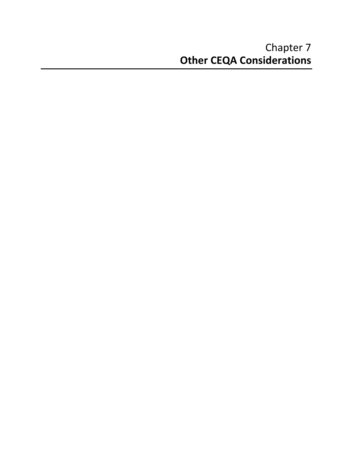### Chapter 7 **Other CEQA Considerations**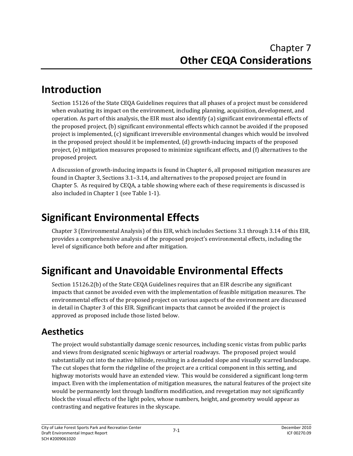### **Introduction**

Section 15126 of the State CEQA Guidelines requires that all phases of a project must be considered when evaluating its impact on the environment, including planning, acquisition, development, and operation. As part of this analysis, the EIR must also identify (a) significant environmental effects of the proposed project, (b) significant environmental effects which cannot be avoided if the proposed project is implemented, (c) significant irreversible environmental changes which would be involved in the proposed project should it be implemented, (d) growth‐inducing impacts of the proposed project, (e) mitigation measures proposed to minimize significant effects, and (f) alternatives to the proposed project.

A discussion of growth‐inducing impacts is found in Chapter 6, all proposed mitigation measures are found in Chapter 3, Sections 3.1–3.14, and alternatives to the proposed project are found in Chapter 5. As required by CEQA, a table showing where each of these requirements is discussed is also included in Chapter 1 (see Table 1‐1).

# **Significant Environmental Effects**

Chapter 3 (Environmental Analysis) of this EIR, which includes Sections 3.1 through 3.14 of this EIR, provides a comprehensive analysis of the proposed project's environmental effects, including the level of significance both before and after mitigation.

# **Significant and Unavoidable Environmental Effects**

Section 15126.2(b) of the State CEQA Guidelines requires that an EIR describe any significant impacts that cannot be avoided even with the implementation of feasible mitigation measures. The environmental effects of the proposed project on various aspects of the environment are discussed in detail in Chapter 3 of this EIR. Significant impacts that cannot be avoided if the project is approved as proposed include those listed below.

### **Aesthetics**

The project would substantially damage scenic resources, including scenic vistas from public parks and views from designated scenic highways or arterial roadways. The proposed project would substantially cut into the native hillside, resulting in a denuded slope and visually scarred landscape. The cut slopes that form the ridgeline of the project are a critical component in this setting, and highway motorists would have an extended view. This would be considered a significant long-term impact. Even with the implementation of mitigation measures, the natural features of the project site would be permanently lost through landform modification, and revegetation may not significantly block the visual effects of the light poles, whose numbers, height, and geometry would appear as contrasting and negative features in the skyscape.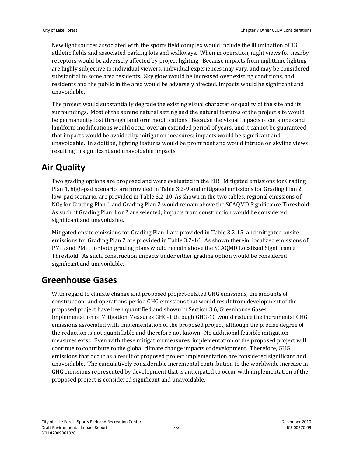New light sources associated with the sports field complex would include the illumination of 13 athletic fields and associated parking lots and walkways. When in operation, night views for nearby receptors would be adversely affected by project lighting. Because impacts from nighttime lighting are highly subjective to individual viewers, individual experiences may vary, and may be considered substantial to some area residents. Sky glow would be increased over existing conditions, and residents and the public in the area would be adversely affected. Impacts would be significant and unavoidable.

The project would substantially degrade the existing visual character or quality of the site and its surroundings. Most of the serene natural setting and the natural features of the project site would be permanently lost through landform modifications. Because the visual impacts of cut slopes and landform modifications would occur over an extended period of years, and it cannot be guaranteed that impacts would be avoided by mitigation measures; impacts would be significant and unavoidable. In addition, lighting features would be prominent and would intrude on skyline views resulting in significant and unavoidable impacts.

#### **Air Quality**

Two grading options are proposed and were evaluated in the EIR. Mitigated emissions for Grading Plan 1, high‐pad scenario, are provided in Table 3.2‐9 and mitigated emissions for Grading Plan 2, low‐pad scenario, are provided in Table 3.2‐10. As shown in the two tables, regional emissions of  $NO<sub>X</sub>$  for Grading Plan 1 and Grading Plan 2 would remain above the SCAQMD Significance Threshold. As such, if Grading Plan 1 or 2 are selected, impacts from construction would be considered significant and unavoidable.

Mitigated onsite emissions for Grading Plan 1 are provided in Table 3.2‐15, and mitigated onsite emissions for Grading Plan 2 are provided in Table 3.2‐16. As shown therein, localized emissions of PM<sub>10</sub> and PM<sub>2.5</sub> for both grading plans would remain above the SCAQMD Localized Significance Threshold. As such, construction impacts under either grading option would be considered significant and unavoidable.

#### **Greenhouse Gases**

With regard to climate change and proposed project-related GHG emissions, the amounts of construction‐ and operations‐period GHG emissions that would result from development of the proposed project have been quantified and shown in Section 3.6, Greenhouse Gases. Implementation of Mitigation Measures GHG‐1 through GHG‐10 would reduce the incremental GHG emissions associated with implementation of the proposed project, although the precise degree of the reduction is not quantifiable and therefore not known. No additional feasible mitigation measures exist. Even with these mitigation measures, implementation of the proposed project will continue to contribute to the global climate change impacts of development. Therefore, GHG emissions that occur as a result of proposed project implementation are considered significant and unavoidable. The cumulatively considerable incremental contribution to the worldwide increase in GHG emissions represented by development that is anticipated to occur with implementation of the proposed project is considered significant and unavoidable.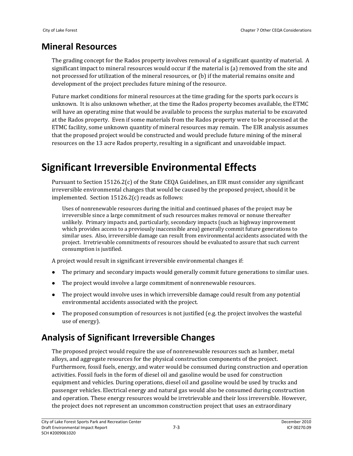#### **Mineral Resources**

The grading concept for the Rados property involves removal of a significant quantity of material. A significant impact to mineral resources would occur if the material is (a) removed from the site and not processed for utilization of the mineral resources, or (b) if the material remains onsite and development of the project precludes future mining of the resource.

Future market conditions for mineral resources at the time grading for the sports park occurs is unknown. It is also unknown whether, at the time the Rados property becomes available, the ETMC will have an operating mine that would be available to process the surplus material to be excavated at the Rados property. Even if some materials from the Rados property were to be processed at the ETMC facility, some unknown quantity of mineral resources may remain. The EIR analysis assumes that the proposed project would be constructed and would preclude future mining of the mineral resources on the 13 acre Rados property, resulting in a significant and unavoidable impact.

## **Significant Irreversible Environmental Effects**

Pursuant to Section 15126.2(c) of the State CEQA Guidelines, an EIR must consider any significant irreversible environmental changes that would be caused by the proposed project, should it be implemented. Section 15126.2(c) reads as follows:

Uses of nonrenewable resources during the initial and continued phases of the project may be irreversible since a large commitment of such resources makes removal or nonuse thereafter unlikely. Primary impacts and, particularly, secondary impacts (such as highway improvement which provides access to a previously inaccessible area) generally commit future generations to similar uses. Also, irreversible damage can result from environmental accidents associated with the project. Irretrievable commitments of resources should be evaluated to assure that such current consumption is justified.

A project would result in significant irreversible environmental changes if:

- The primary and secondary impacts would generally commit future generations to similar uses.
- $\bullet$  The project would involve a large commitment of nonrenewable resources.
- The project would involve uses in which irreversible damage could result from any potential environmental accidents associated with the project.
- The proposed consumption of resources is not justified (e.g. the project involves the wasteful use of energy).

#### **Analysis of Significant Irreversible Changes**

The proposed project would require the use of nonrenewable resources such as lumber, metal alloys, and aggregate resources for the physical construction components of the project. Furthermore, fossil fuels, energy, and water would be consumed during construction and operation activities. Fossil fuels in the form of diesel oil and gasoline would be used for construction equipment and vehicles. During operations, diesel oil and gasoline would be used by trucks and passenger vehicles. Electrical energy and natural gas would also be consumed during construction and operation. These energy resources would be irretrievable and their loss irreversible. However, the project does not represent an uncommon construction project that uses an extraordinary